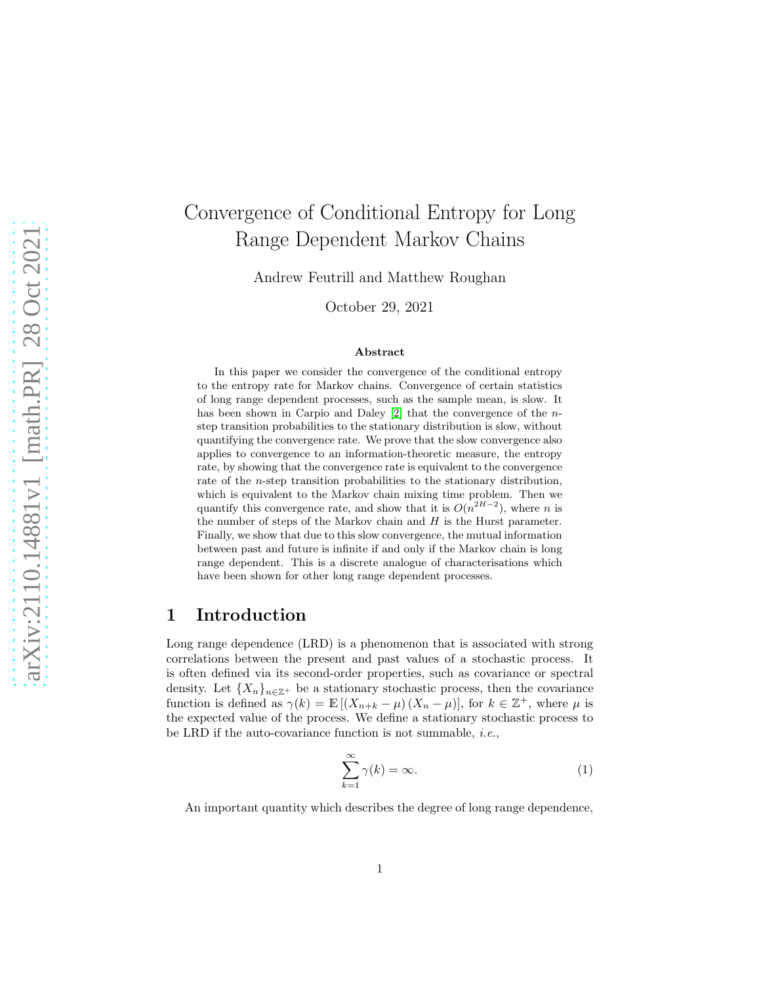# Convergence of Conditional Entropy for Long Range Dependent Markov Chains

Andrew Feutrill and Matthew Roughan

October 29, 2021

#### Abstract

In this paper we consider the convergence of the conditional entropy to the entropy rate for Markov chains. Convergence of certain statistics of long range dependent processes, such as the sample mean, is slow. It has been shown in Carpio and Daley [\[2\]](#page-14-0) that the convergence of the *n*step transition probabilities to the stationary distribution is slow, without quantifying the convergence rate. We prove that the slow convergence also applies to convergence to an information-theoretic measure, the entropy rate, by showing that the convergence rate is equivalent to the convergence rate of the n-step transition probabilities to the stationary distribution, which is equivalent to the Markov chain mixing time problem. Then we quantify this convergence rate, and show that it is  $O(n^{2H-2})$ , where *n* is the number of steps of the Markov chain and  $H$  is the Hurst parameter. Finally, we show that due to this slow convergence, the mutual information between past and future is infinite if and only if the Markov chain is long range dependent. This is a discrete analogue of characterisations which have been shown for other long range dependent processes.

### 1 Introduction

Long range dependence (LRD) is a phenomenon that is associated with strong correlations between the present and past values of a stochastic process. It is often defined via its second-order properties, such as covariance or spectral density. Let  $\{X_n\}_{n\in\mathbb{Z}^+}$  be a stationary stochastic process, then the covariance function is defined as  $\gamma(k) = \mathbb{E}[(X_{n+k} - \mu)(X_n - \mu)]$ , for  $k \in \mathbb{Z}^+$ , where  $\mu$  is the expected value of the process. We define a stationary stochastic process to be LRD if the auto-covariance function is not summable, *i.e.*,

<span id="page-0-0"></span>
$$
\sum_{k=1}^{\infty} \gamma(k) = \infty.
$$
 (1)

An important quantity which describes the degree of long range dependence,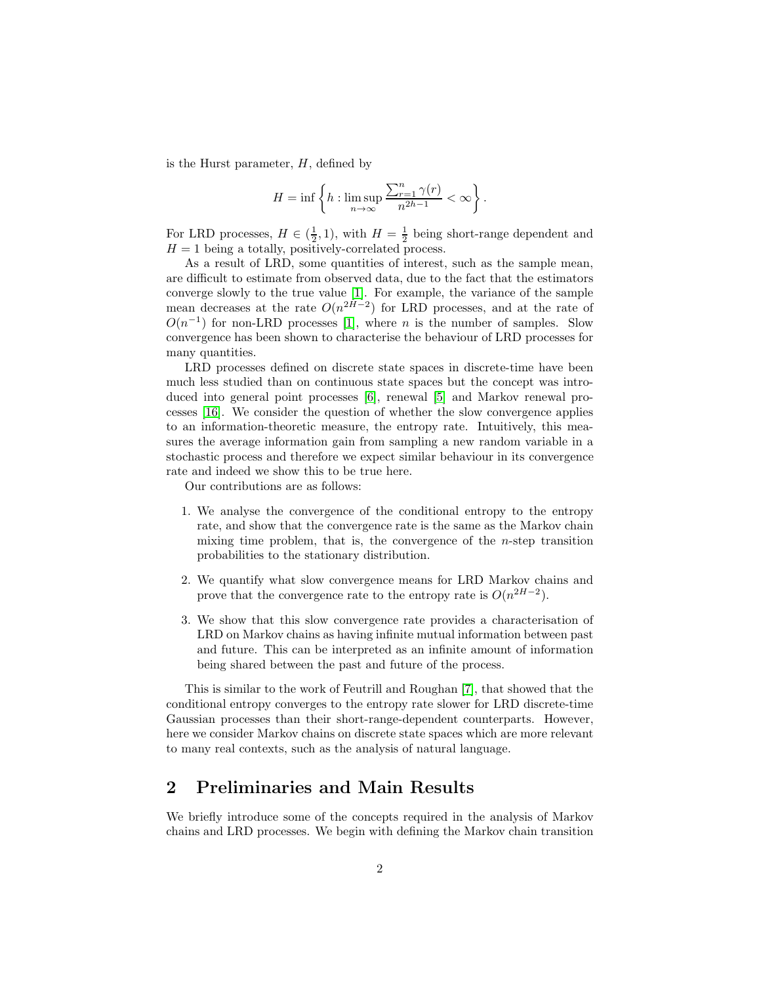is the Hurst parameter,  $H$ , defined by

$$
H=\inf\left\{h:\limsup_{n\to\infty}\frac{\sum_{r=1}^n\gamma(r)}{n^{2h-1}}<\infty\right\}.
$$

For LRD processes,  $H \in (\frac{1}{2}, 1)$ , with  $H = \frac{1}{2}$  being short-range dependent and  $H = 1$  being a totally, positively-correlated process.

As a result of LRD, some quantities of interest, such as the sample mean, are difficult to estimate from observed data, due to the fact that the estimators converge slowly to the true value [\[1\]](#page-14-1). For example, the variance of the sample mean decreases at the rate  $O(n^{2H-2})$  for LRD processes, and at the rate of  $O(n^{-1})$  for non-LRD processes [\[1\]](#page-14-1), where *n* is the number of samples. Slow convergence has been shown to characterise the behaviour of LRD processes for many quantities.

LRD processes defined on discrete state spaces in discrete-time have been much less studied than on continuous state spaces but the concept was introduced into general point processes [\[6\]](#page-14-2), renewal [\[5\]](#page-14-3) and Markov renewal processes [\[16\]](#page-15-0). We consider the question of whether the slow convergence applies to an information-theoretic measure, the entropy rate. Intuitively, this measures the average information gain from sampling a new random variable in a stochastic process and therefore we expect similar behaviour in its convergence rate and indeed we show this to be true here.

Our contributions are as follows:

- 1. We analyse the convergence of the conditional entropy to the entropy rate, and show that the convergence rate is the same as the Markov chain mixing time problem, that is, the convergence of the  $n$ -step transition probabilities to the stationary distribution.
- 2. We quantify what slow convergence means for LRD Markov chains and prove that the convergence rate to the entropy rate is  $O(n^{2H-2})$ .
- 3. We show that this slow convergence rate provides a characterisation of LRD on Markov chains as having infinite mutual information between past and future. This can be interpreted as an infinite amount of information being shared between the past and future of the process.

This is similar to the work of Feutrill and Roughan [\[7\]](#page-14-4), that showed that the conditional entropy converges to the entropy rate slower for LRD discrete-time Gaussian processes than their short-range-dependent counterparts. However, here we consider Markov chains on discrete state spaces which are more relevant to many real contexts, such as the analysis of natural language.

# 2 Preliminaries and Main Results

We briefly introduce some of the concepts required in the analysis of Markov chains and LRD processes. We begin with defining the Markov chain transition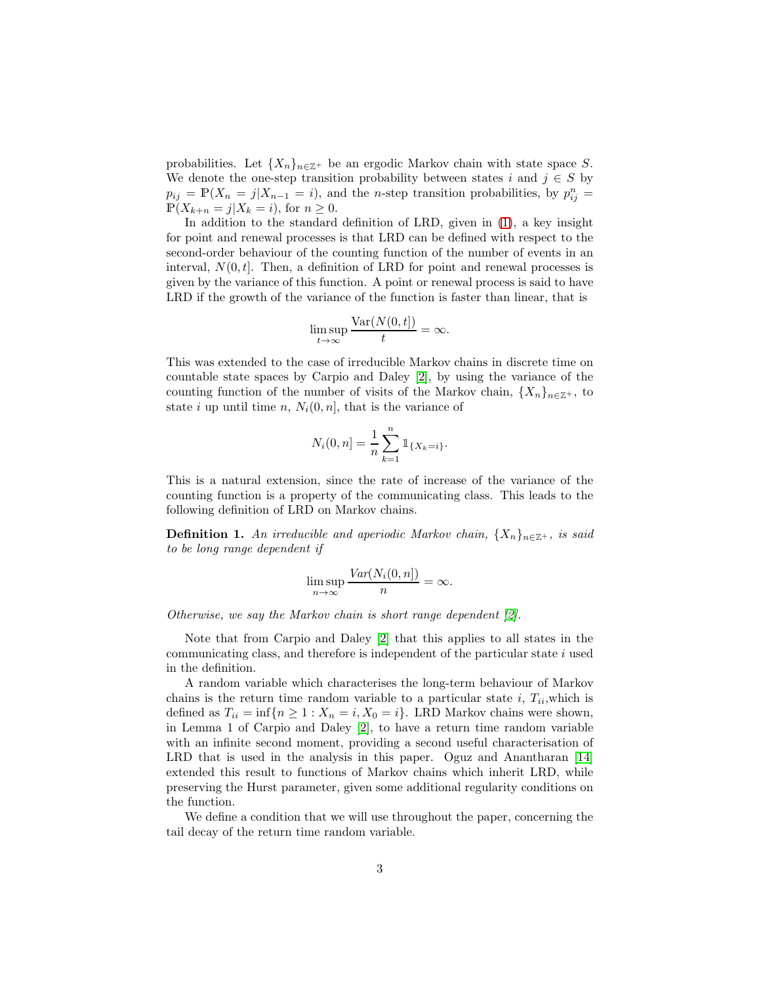probabilities. Let  $\{X_n\}_{n\in\mathbb{Z}^+}$  be an ergodic Markov chain with state space S. We denote the one-step transition probability between states i and  $j \in S$  by  $p_{ij} = \mathbb{P}(X_n = j | X_{n-1} = i)$ , and the *n*-step transition probabilities, by  $p_{ij}^n =$  $\mathbb{P}(X_{k+n} = j | X_k = i)$ , for  $n \geq 0$ .

In addition to the standard definition of LRD, given in [\(1\)](#page-0-0), a key insight for point and renewal processes is that LRD can be defined with respect to the second-order behaviour of the counting function of the number of events in an interval,  $N(0, t]$ . Then, a definition of LRD for point and renewal processes is given by the variance of this function. A point or renewal process is said to have LRD if the growth of the variance of the function is faster than linear, that is

$$
\limsup_{t \to \infty} \frac{\text{Var}(N(0, t])}{t} = \infty.
$$

This was extended to the case of irreducible Markov chains in discrete time on countable state spaces by Carpio and Daley [\[2\]](#page-14-0), by using the variance of the counting function of the number of visits of the Markov chain,  ${X_n}_{n \in \mathbb{Z}^+}$ , to state i up until time n,  $N_i(0, n]$ , that is the variance of

$$
N_i(0, n] = \frac{1}{n} \sum_{k=1}^n \mathbb{1}_{\{X_k = i\}}.
$$

This is a natural extension, since the rate of increase of the variance of the counting function is a property of the communicating class. This leads to the following definition of LRD on Markov chains.

**Definition 1.** An irreducible and aperiodic Markov chain,  $\{X_n\}_{n\in\mathbb{Z}^+}$ , is said *to be long range dependent if*

$$
\limsup_{n \to \infty} \frac{Var(N_i(0, n])}{n} = \infty.
$$

*Otherwise, we say the Markov chain is short range dependent [\[2\]](#page-14-0).*

Note that from Carpio and Daley [\[2\]](#page-14-0) that this applies to all states in the communicating class, and therefore is independent of the particular state  $i$  used in the definition.

A random variable which characterises the long-term behaviour of Markov chains is the return time random variable to a particular state i,  $T_{ii}$ , which is defined as  $T_{ii} = \inf\{n \geq 1 : X_n = i, X_0 = i\}$ . LRD Markov chains were shown, in Lemma 1 of Carpio and Daley [\[2\]](#page-14-0), to have a return time random variable with an infinite second moment, providing a second useful characterisation of LRD that is used in the analysis in this paper. Oguz and Anantharan [\[14\]](#page-15-1) extended this result to functions of Markov chains which inherit LRD, while preserving the Hurst parameter, given some additional regularity conditions on the function.

We define a condition that we will use throughout the paper, concerning the tail decay of the return time random variable.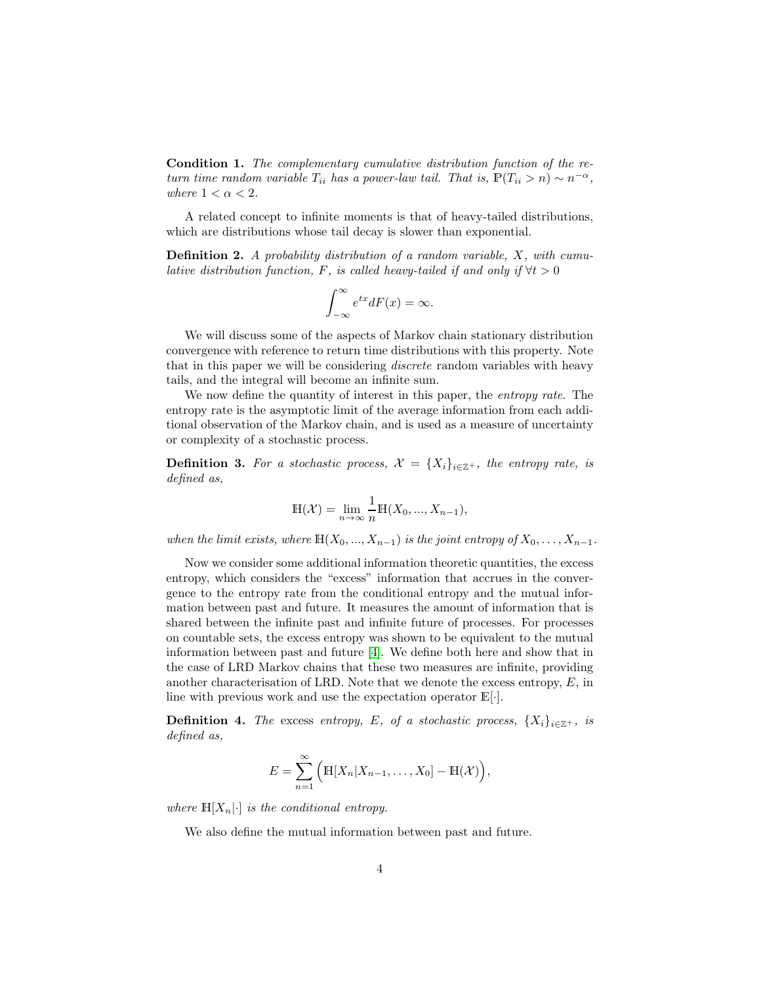<span id="page-3-0"></span>Condition 1. *The complementary cumulative distribution function of the return time random variable*  $T_{ii}$  *has a power-law tail. That is,*  $\mathbb{P}(T_{ii} > n) \sim n^{-\alpha}$ , *where*  $1 < \alpha < 2$ *.* 

A related concept to infinite moments is that of heavy-tailed distributions, which are distributions whose tail decay is slower than exponential.

<span id="page-3-1"></span>Definition 2. *A probability distribution of a random variable,* X*, with cumulative distribution function,* F, is called heavy-tailed if and only if  $\forall t > 0$ 

$$
\int_{-\infty}^{\infty} e^{tx} dF(x) = \infty.
$$

We will discuss some of the aspects of Markov chain stationary distribution convergence with reference to return time distributions with this property. Note that in this paper we will be considering *discrete* random variables with heavy tails, and the integral will become an infinite sum.

We now define the quantity of interest in this paper, the *entropy rate*. The entropy rate is the asymptotic limit of the average information from each additional observation of the Markov chain, and is used as a measure of uncertainty or complexity of a stochastic process.

**Definition 3.** For a stochastic process,  $\mathcal{X} = \{X_i\}_{i \in \mathbb{Z}^+}$ , the entropy rate, is *defined as,*

$$
\mathbb{H}(\mathcal{X}) = \lim_{n \to \infty} \frac{1}{n} \mathbb{H}(X_0, ..., X_{n-1}),
$$

*when the limit exists, where*  $\mathbb{H}(X_0, ..., X_{n-1})$  *is the joint entropy of*  $X_0, ..., X_{n-1}$ *.* 

Now we consider some additional information theoretic quantities, the excess entropy, which considers the "excess" information that accrues in the convergence to the entropy rate from the conditional entropy and the mutual information between past and future. It measures the amount of information that is shared between the infinite past and infinite future of processes. For processes on countable sets, the excess entropy was shown to be equivalent to the mutual information between past and future [\[4\]](#page-14-5). We define both here and show that in the case of LRD Markov chains that these two measures are infinite, providing another characterisation of LRD. Note that we denote the excess entropy,  $E$ , in line with previous work and use the expectation operator  $\mathbb{E}[\cdot]$ .

**Definition 4.** *The* excess *entropy, E*, *of a stochastic process,*  $\{X_i\}_{i\in\mathbb{Z}^+}$ *, is defined as,*

$$
E = \sum_{n=1}^{\infty} \Big( \mathbb{H}[X_n | X_{n-1}, \dots, X_0] - \mathbb{H}(\mathcal{X}) \Big),
$$

*where*  $\mathbb{H}[X_n] \cdot |$  *is the conditional entropy.* 

We also define the mutual information between past and future.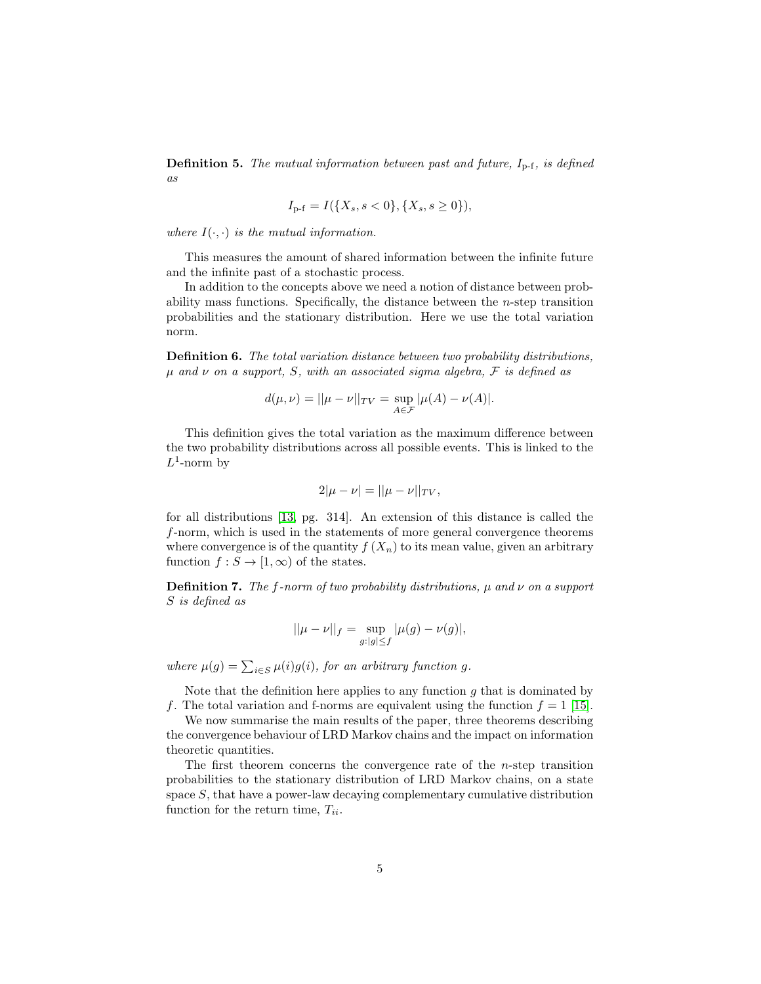**Definition 5.** *The mutual information between past and future,*  $I_{p-f}$ *, is defined as*

$$
I_{p-f} = I(\{X_s, s < 0\}, \{X_s, s \ge 0\}),
$$

*where*  $I(\cdot, \cdot)$  *is the mutual information.* 

This measures the amount of shared information between the infinite future and the infinite past of a stochastic process.

In addition to the concepts above we need a notion of distance between probability mass functions. Specifically, the distance between the  $n$ -step transition probabilities and the stationary distribution. Here we use the total variation norm.

Definition 6. *The total variation distance between two probability distributions,* µ *and* ν *on a support,* S*, with an associated sigma algebra,* F *is defined as*

$$
d(\mu,\nu)=||\mu-\nu||_{TV}=\sup_{A\in\mathcal{F}}|\mu(A)-\nu(A)|.
$$

This definition gives the total variation as the maximum difference between the two probability distributions across all possible events. This is linked to the  $L^1$ -norm by

$$
2|\mu - \nu| = ||\mu - \nu||_{TV},
$$

for all distributions [\[13,](#page-15-2) pg. 314]. An extension of this distance is called the f-norm, which is used in the statements of more general convergence theorems where convergence is of the quantity  $f(X_n)$  to its mean value, given an arbitrary function  $f : S \to [1, \infty)$  of the states.

Definition 7. *The* f*-norm of two probability distributions,* µ *and* ν *on a support* S *is defined as*

$$
||\mu - \nu||_f = \sup_{g:|g| \le f} |\mu(g) - \nu(g)|,
$$

where  $\mu(g) = \sum_{i \in S} \mu(i)g(i)$ , for an arbitrary function g.

Note that the definition here applies to any function  $g$  that is dominated by f. The total variation and f-norms are equivalent using the function  $f = 1$  [\[15\]](#page-15-3).

We now summarise the main results of the paper, three theorems describing the convergence behaviour of LRD Markov chains and the impact on information theoretic quantities.

The first theorem concerns the convergence rate of the  $n$ -step transition probabilities to the stationary distribution of LRD Markov chains, on a state space S, that have a power-law decaying complementary cumulative distribution function for the return time,  $T_{ii}$ .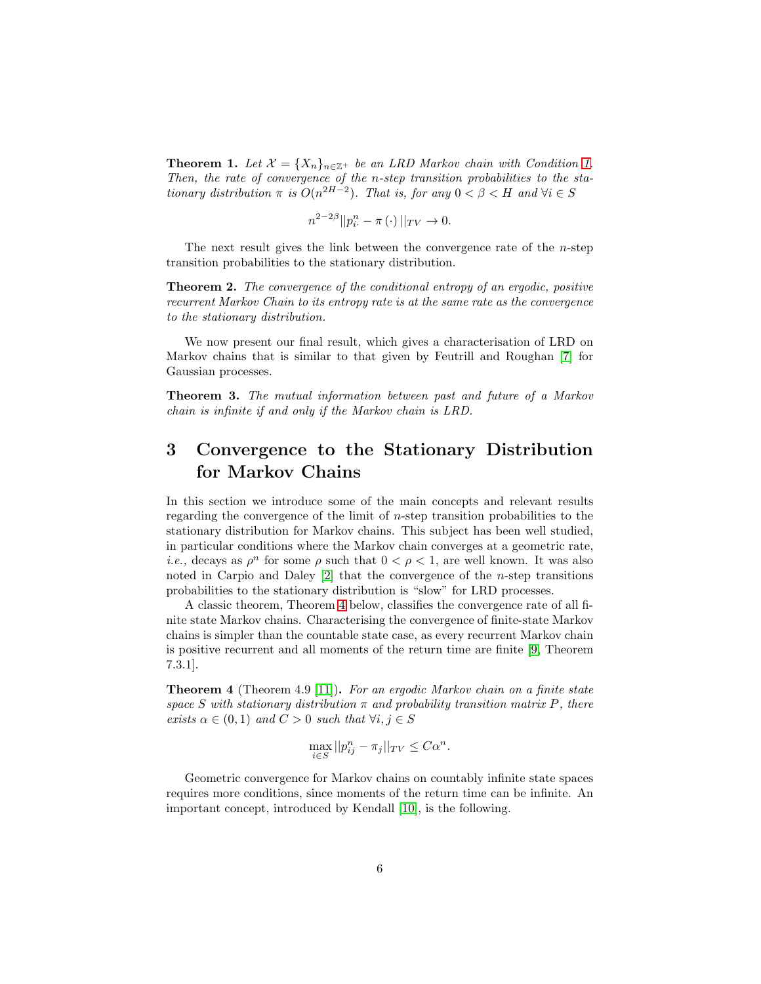<span id="page-5-1"></span>**Theorem [1.](#page-3-0)** Let  $\mathcal{X} = \{X_n\}_{n \in \mathbb{Z}^+}$  be an LRD Markov chain with Condition 1. *Then, the rate of convergence of the* n*-step transition probabilities to the stationary distribution*  $\pi$  *is*  $O(n^{2H-2})$ *. That is, for any*  $0 < \beta < H$  *and*  $\forall i \in S$ 

$$
n^{2-2\beta}||p_{i\cdot}^{n} - \pi(\cdot)||_{TV} \to 0.
$$

The next result gives the link between the convergence rate of the  $n$ -step transition probabilities to the stationary distribution.

<span id="page-5-2"></span>Theorem 2. *The convergence of the conditional entropy of an ergodic, positive recurrent Markov Chain to its entropy rate is at the same rate as the convergence to the stationary distribution.*

We now present our final result, which gives a characterisation of LRD on Markov chains that is similar to that given by Feutrill and Roughan [\[7\]](#page-14-4) for Gaussian processes.

<span id="page-5-3"></span>Theorem 3. *The mutual information between past and future of a Markov chain is infinite if and only if the Markov chain is LRD.*

# 3 Convergence to the Stationary Distribution for Markov Chains

In this section we introduce some of the main concepts and relevant results regarding the convergence of the limit of  $n$ -step transition probabilities to the stationary distribution for Markov chains. This subject has been well studied, in particular conditions where the Markov chain converges at a geometric rate, *i.e.*, decays as  $\rho^n$  for some  $\rho$  such that  $0 < \rho < 1$ , are well known. It was also noted in Carpio and Daley  $[2]$  that the convergence of the *n*-step transitions probabilities to the stationary distribution is "slow" for LRD processes.

A classic theorem, Theorem [4](#page-5-0) below, classifies the convergence rate of all finite state Markov chains. Characterising the convergence of finite-state Markov chains is simpler than the countable state case, as every recurrent Markov chain is positive recurrent and all moments of the return time are finite [\[9,](#page-14-6) Theorem 7.3.1].

<span id="page-5-0"></span>Theorem 4 (Theorem 4.9 [\[11\]](#page-15-4)). *For an ergodic Markov chain on a finite state space* S *with stationary distribution* π *and probability transition matrix* P*, there exists*  $\alpha \in (0,1)$  *and*  $C > 0$  *such that*  $\forall i, j \in S$ 

$$
\max_{i \in S} ||p_{ij}^n - \pi_j||_{TV} \le C\alpha^n.
$$

Geometric convergence for Markov chains on countably infinite state spaces requires more conditions, since moments of the return time can be infinite. An important concept, introduced by Kendall [\[10\]](#page-15-5), is the following.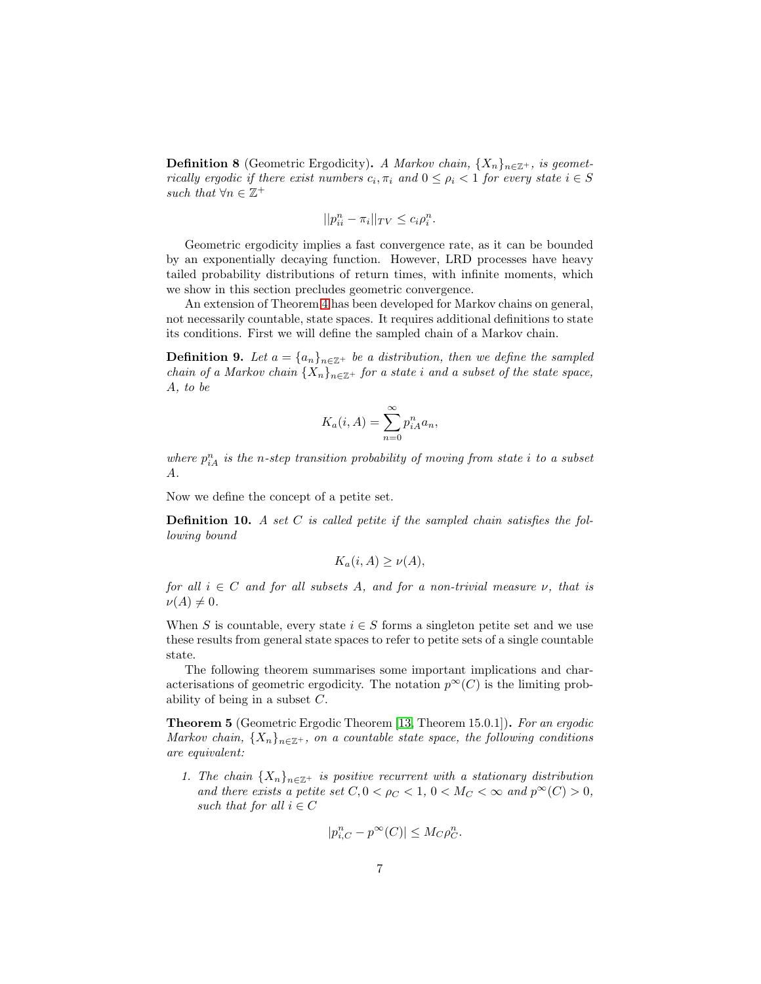**Definition 8** (Geometric Ergodicity). *A Markov chain*,  $\{X_n\}_{n\in\mathbb{Z}^+}$ *, is geometrically ergodic if there exist numbers*  $c_i$ ,  $\pi_i$  and  $0 \leq \rho_i < 1$  for every state  $i \in S$ such that  $\forall n \in \mathbb{Z}^+$ 

$$
||p_{ii}^n - \pi_i||_{TV} \le c_i \rho_i^n.
$$

Geometric ergodicity implies a fast convergence rate, as it can be bounded by an exponentially decaying function. However, LRD processes have heavy tailed probability distributions of return times, with infinite moments, which we show in this section precludes geometric convergence.

An extension of Theorem [4](#page-5-0) has been developed for Markov chains on general, not necessarily countable, state spaces. It requires additional definitions to state its conditions. First we will define the sampled chain of a Markov chain.

**Definition 9.** Let  $a = \{a_n\}_{n \in \mathbb{Z}^+}$  be a distribution, then we define the sampled *chain of a Markov chain*  $\{X_n\}_{n\in\mathbb{Z}^+}$  *for a state i and a subset of the state space,* A*, to be*

$$
K_a(i, A) = \sum_{n=0}^{\infty} p_{iA}^n a_n,
$$

where  $p_{iA}^n$  is the *n*-step transition probability of moving from state i to a subset A*.*

Now we define the concept of a petite set.

Definition 10. *A set* C *is called petite if the sampled chain satisfies the following bound*

$$
K_a(i, A) \ge \nu(A),
$$

*for all*  $i \in C$  *and for all subsets A, and for a non-trivial measure*  $\nu$ *, that is*  $\nu(A) \neq 0.$ 

When S is countable, every state  $i \in S$  forms a singleton petite set and we use these results from general state spaces to refer to petite sets of a single countable state.

The following theorem summarises some important implications and characterisations of geometric ergodicity. The notation  $p^{\infty}(C)$  is the limiting probability of being in a subset C.

<span id="page-6-0"></span>Theorem 5 (Geometric Ergodic Theorem [\[13,](#page-15-2) Theorem 15.0.1]). *For an ergodic Markov chain,*  $\{X_n\}_{n\in\mathbb{Z}^+}$ *, on a countable state space, the following conditions are equivalent:*

*1. The chain*  ${X_n}_{n \in \mathbb{Z}^+}$  *is positive recurrent with a stationary distribution and there exists a petite set*  $C, 0 < \rho_C < 1, 0 < M_C < \infty$  *and*  $p^{\infty}(C) > 0$ *, such that for all*  $i \in C$ 

$$
|p_{i,C}^n - p^{\infty}(C)| \le M_C \rho_C^n.
$$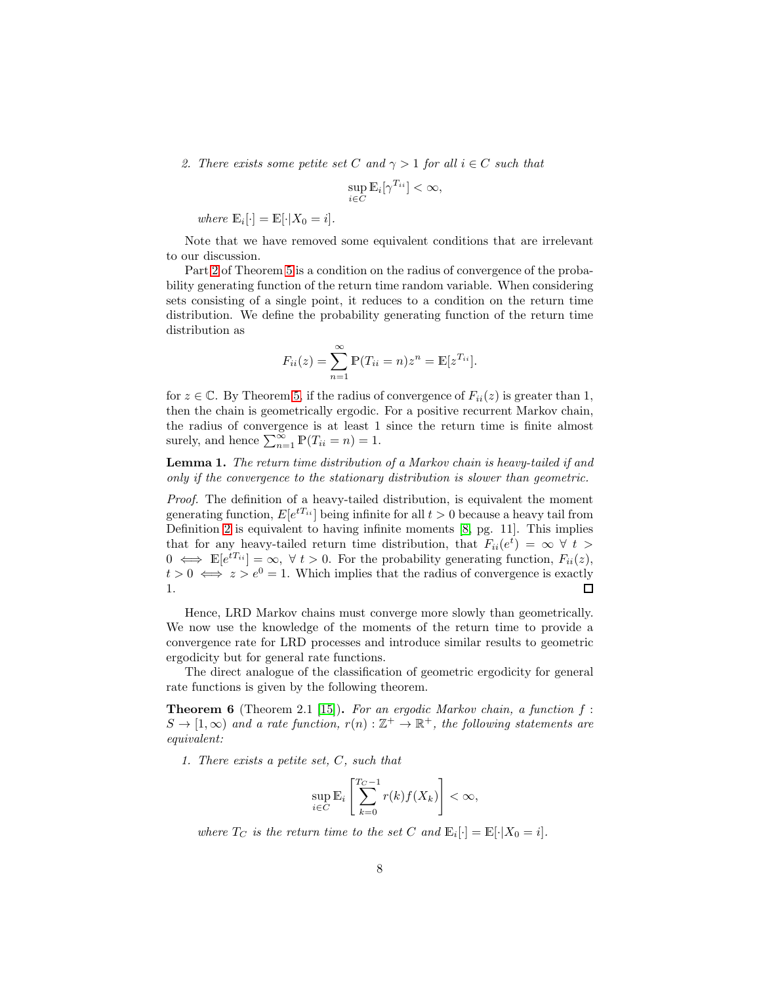<span id="page-7-0"></span>*2. There exists some petite set* C and  $\gamma > 1$  for all  $i \in C$  *such that* 

$$
\sup_{i \in C} \mathbb{E}_i[\gamma^{T_{ii}}] < \infty,
$$

*where*  $\mathbb{E}_i[\cdot] = \mathbb{E}[\cdot | X_0 = i].$ 

Note that we have removed some equivalent conditions that are irrelevant to our discussion.

Part [2](#page-7-0) of Theorem [5](#page-6-0) is a condition on the radius of convergence of the probability generating function of the return time random variable. When considering sets consisting of a single point, it reduces to a condition on the return time distribution. We define the probability generating function of the return time distribution as

$$
F_{ii}(z) = \sum_{n=1}^{\infty} \mathbb{P}(T_{ii} = n)z^n = \mathbb{E}[z^{T_{ii}}].
$$

for  $z \in \mathbb{C}$ . By Theorem [5,](#page-6-0) if the radius of convergence of  $F_{ii}(z)$  is greater than 1, then the chain is geometrically ergodic. For a positive recurrent Markov chain, the radius of convergence is at least 1 since the return time is finite almost surely, and hence  $\sum_{n=1}^{\infty} P(T_{ii} = n) = 1$ .

<span id="page-7-1"></span>Lemma 1. *The return time distribution of a Markov chain is heavy-tailed if and only if the convergence to the stationary distribution is slower than geometric.*

*Proof.* The definition of a heavy-tailed distribution, is equivalent the moment generating function,  $E[e^{tT_{ii}}]$  being infinite for all  $t > 0$  because a heavy tail from Definition [2](#page-3-1) is equivalent to having infinite moments [\[8,](#page-14-7) pg. 11]. This implies that for any heavy-tailed return time distribution, that  $F_{ii}(e^t) = \infty \forall t >$  $0 \iff \mathbb{E}[e^{iT_{ii}}] = \infty, \forall t > 0.$  For the probability generating function,  $F_{ii}(z)$ ,  $t > 0 \iff z > e^0 = 1$ . Which implies that the radius of convergence is exactly 1.  $\Box$ 

Hence, LRD Markov chains must converge more slowly than geometrically. We now use the knowledge of the moments of the return time to provide a convergence rate for LRD processes and introduce similar results to geometric ergodicity but for general rate functions.

The direct analogue of the classification of geometric ergodicity for general rate functions is given by the following theorem.

<span id="page-7-2"></span>Theorem 6 (Theorem 2.1 [\[15\]](#page-15-3)). *For an ergodic Markov chain, a function* f :  $S \to [1,\infty)$  and a rate function,  $r(n) : \mathbb{Z}^+ \to \mathbb{R}^+$ , the following statements are *equivalent:*

*1. There exists a petite set,* C*, such that*

$$
\sup_{i \in C} \mathbb{E}_i \left[ \sum_{k=0}^{T_C - 1} r(k) f(X_k) \right] < \infty,
$$

*where*  $T_C$  *is the return time to the set*  $C$  *and*  $\mathbb{E}_i[\cdot] = \mathbb{E}[\cdot|X_0 = i].$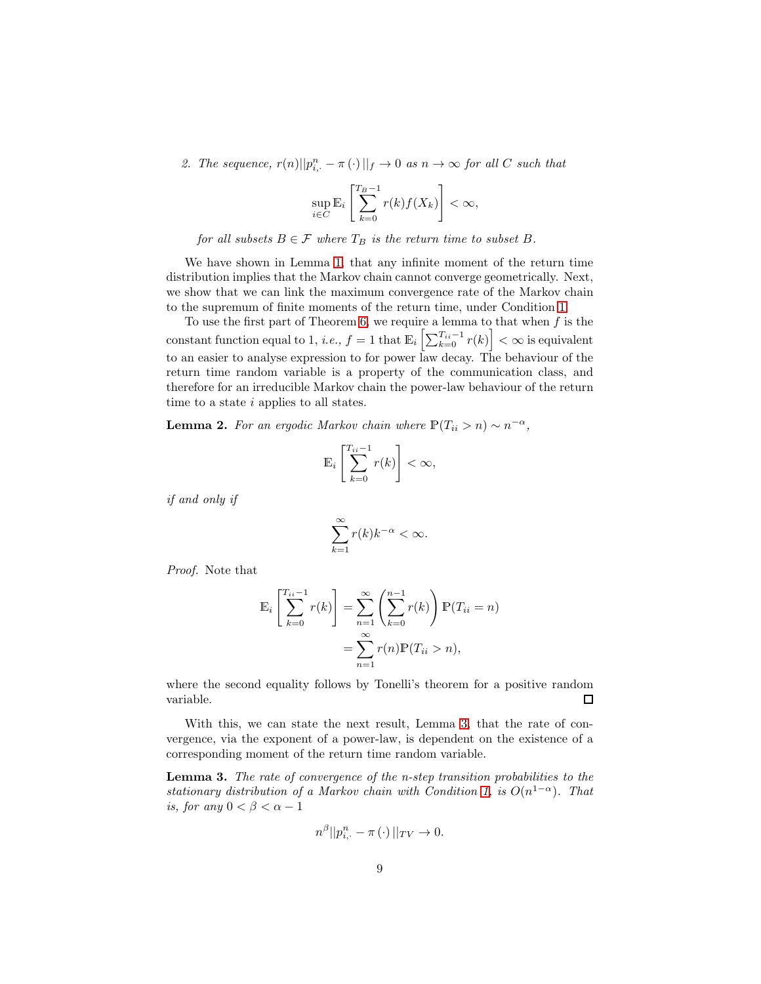2. The sequence,  $r(n)||p_{i,\cdot}^n - \pi(\cdot)||_f \to 0$  *as*  $n \to \infty$  for all C such that

$$
\sup_{i \in C} \mathbb{E}_i \left[ \sum_{k=0}^{T_B - 1} r(k) f(X_k) \right] < \infty,
$$

*for all subsets*  $B \in \mathcal{F}$  *where*  $T_B$  *is the return time to subset*  $B$ *.* 

We have shown in Lemma [1,](#page-7-1) that any infinite moment of the return time distribution implies that the Markov chain cannot converge geometrically. Next, we show that we can link the maximum convergence rate of the Markov chain to the supremum of finite moments of the return time, under Condition [1.](#page-3-0)

To use the first part of Theorem [6,](#page-7-2) we require a lemma to that when  $f$  is the constant function equal to 1, *i.e.*,  $f = 1$  that  $\mathbb{E}_i \left[ \sum_{k=0}^{T_{ii}-1} r(k) \right] < \infty$  is equivalent to an easier to analyse expression to for power law decay. The behaviour of the return time random variable is a property of the communication class, and therefore for an irreducible Markov chain the power-law behaviour of the return time to a state *i* applies to all states.

<span id="page-8-1"></span>**Lemma 2.** For an ergodic Markov chain where  $\mathbb{P}(T_{ii} > n) \sim n^{-\alpha}$ ,

$$
\mathbb{E}_i\left[\sum_{k=0}^{T_{ii}-1}r(k)\right]<\infty,
$$

*if and only if*

$$
\sum_{k=1}^{\infty} r(k)k^{-\alpha} < \infty.
$$

*Proof.* Note that

$$
\mathbb{E}_{i}\left[\sum_{k=0}^{T_{ii}-1} r(k)\right] = \sum_{n=1}^{\infty} \left(\sum_{k=0}^{n-1} r(k)\right) \mathbb{P}(T_{ii} = n)
$$

$$
= \sum_{n=1}^{\infty} r(n) \mathbb{P}(T_{ii} > n),
$$

where the second equality follows by Tonelli's theorem for a positive random variable.  $\Box$ 

With this, we can state the next result, Lemma [3,](#page-8-0) that the rate of convergence, via the exponent of a power-law, is dependent on the existence of a corresponding moment of the return time random variable.

<span id="page-8-0"></span>Lemma 3. *The rate of convergence of the n-step transition probabilities to the stationary distribution of a Markov chain with Condition* [1,](#page-3-0) *is*  $O(n^{1-\alpha})$ *. That is, for any*  $0 < \beta < \alpha - 1$ 

$$
n^{\beta}||p_{i,\cdot}^{n}-\pi(\cdot)||_{TV}\to 0.
$$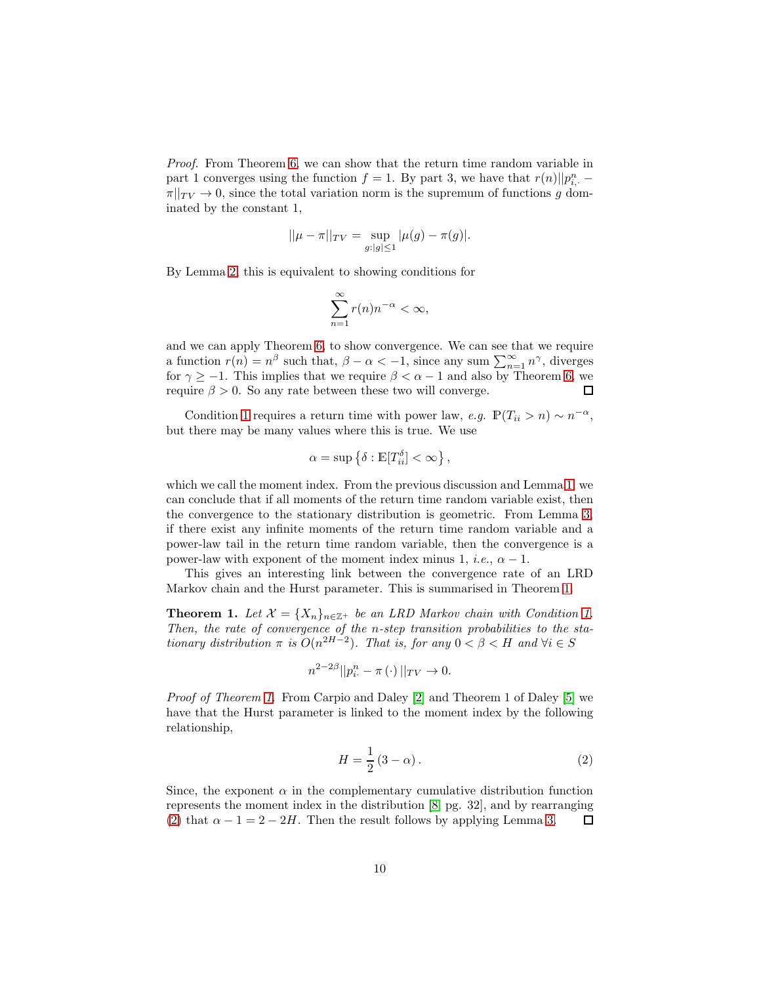*Proof.* From Theorem [6,](#page-7-2) we can show that the return time random variable in part 1 converges using the function  $f = 1$ . By part 3, we have that  $r(n)||p_{i,}^{n} \pi||_{TV} \rightarrow 0$ , since the total variation norm is the supremum of functions g dominated by the constant 1,

$$
||\mu - \pi||_{TV} = \sup_{g:|g| \le 1} |\mu(g) - \pi(g)|.
$$

By Lemma [2,](#page-8-1) this is equivalent to showing conditions for

$$
\sum_{n=1}^{\infty} r(n)n^{-\alpha} < \infty,
$$

and we can apply Theorem [6,](#page-7-2) to show convergence. We can see that we require a function  $r(n) = n^{\beta}$  such that,  $\beta - \alpha < -1$ , since any sum  $\sum_{n=1}^{\infty} n^{\gamma}$ , diverges for  $\gamma \geq -1$ . This implies that we require  $\beta < \alpha - 1$  and also by Theorem [6,](#page-7-2) we require  $\beta > 0$ . So any rate between these two will converge. П

Condition [1](#page-3-0) requires a return time with power law, *e.g.*  $\mathbb{P}(T_{ii} > n) \sim n^{-\alpha}$ , but there may be many values where this is true. We use

$$
\alpha = \sup \left\{ \delta : \mathbb{E}[T_{ii}^{\delta}] < \infty \right\},\
$$

which we call the moment index. From the previous discussion and Lemma [1,](#page-7-1) we can conclude that if all moments of the return time random variable exist, then the convergence to the stationary distribution is geometric. From Lemma [3,](#page-8-0) if there exist any infinite moments of the return time random variable and a power-law tail in the return time random variable, then the convergence is a power-law with exponent of the moment index minus 1, *i.e.*,  $\alpha - 1$ .

This gives an interesting link between the convergence rate of an LRD Markov chain and the Hurst parameter. This is summarised in Theorem [1.](#page-5-1)

**Theorem [1.](#page-3-0)** Let  $\mathcal{X} = \{X_n\}_{n \in \mathbb{Z}^+}$  be an LRD Markov chain with Condition 1. *Then, the rate of convergence of the* n*-step transition probabilities to the stationary distribution*  $\pi$  *is*  $O(n^{2H-2})$ *. That is, for any*  $0 < \beta < H$  *and*  $\forall i \in S$ 

$$
n^{2-2\beta}||p_{i\cdot}^{n} - \pi(\cdot)||_{TV} \to 0.
$$

*Proof of Theorem [1.](#page-5-1)* From Carpio and Daley [\[2\]](#page-14-0) and Theorem 1 of Daley [\[5\]](#page-14-3) we have that the Hurst parameter is linked to the moment index by the following relationship,

<span id="page-9-0"></span>
$$
H = \frac{1}{2} \left( 3 - \alpha \right). \tag{2}
$$

Since, the exponent  $\alpha$  in the complementary cumulative distribution function represents the moment index in the distribution [\[8,](#page-14-7) pg. 32], and by rearranging [\(2\)](#page-9-0) that  $\alpha - 1 = 2 - 2H$ . Then the result follows by applying Lemma [3.](#page-8-0) □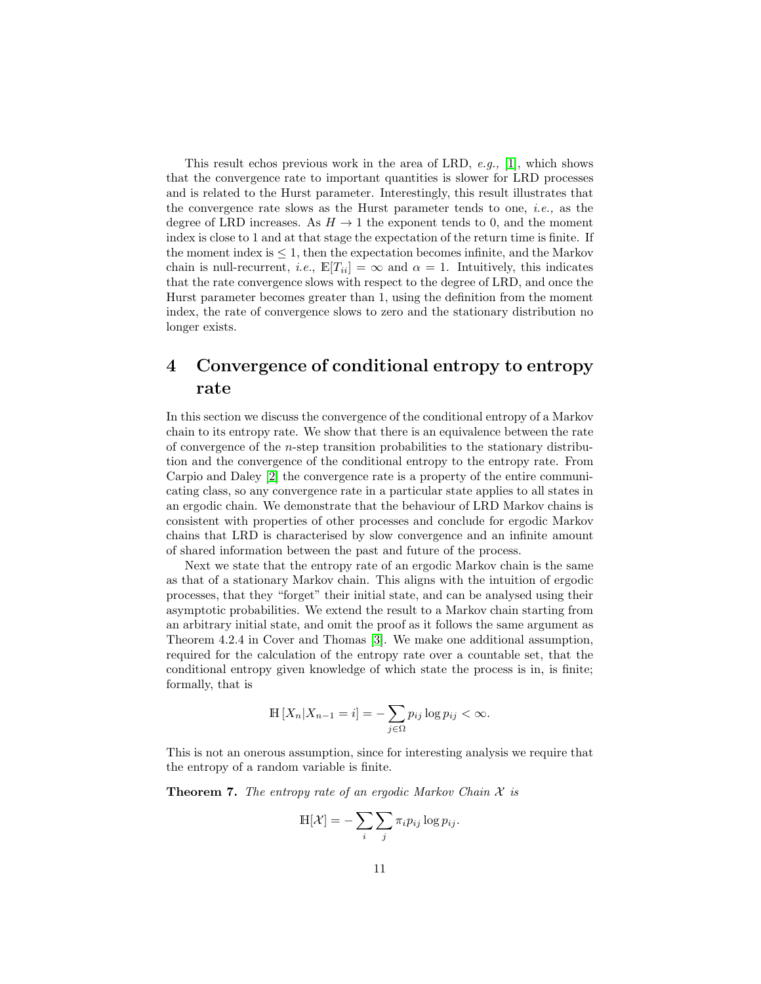This result echos previous work in the area of LRD, *e.g.,* [\[1\]](#page-14-1), which shows that the convergence rate to important quantities is slower for LRD processes and is related to the Hurst parameter. Interestingly, this result illustrates that the convergence rate slows as the Hurst parameter tends to one, *i.e.,* as the degree of LRD increases. As  $H \rightarrow 1$  the exponent tends to 0, and the moment index is close to 1 and at that stage the expectation of the return time is finite. If the moment index is  $\leq 1$ , then the expectation becomes infinite, and the Markov chain is null-recurrent, *i.e.*,  $\mathbb{E}[T_{ii}] = \infty$  and  $\alpha = 1$ . Intuitively, this indicates that the rate convergence slows with respect to the degree of LRD, and once the Hurst parameter becomes greater than 1, using the definition from the moment index, the rate of convergence slows to zero and the stationary distribution no longer exists.

# 4 Convergence of conditional entropy to entropy rate

In this section we discuss the convergence of the conditional entropy of a Markov chain to its entropy rate. We show that there is an equivalence between the rate of convergence of the n-step transition probabilities to the stationary distribution and the convergence of the conditional entropy to the entropy rate. From Carpio and Daley [\[2\]](#page-14-0) the convergence rate is a property of the entire communicating class, so any convergence rate in a particular state applies to all states in an ergodic chain. We demonstrate that the behaviour of LRD Markov chains is consistent with properties of other processes and conclude for ergodic Markov chains that LRD is characterised by slow convergence and an infinite amount of shared information between the past and future of the process.

Next we state that the entropy rate of an ergodic Markov chain is the same as that of a stationary Markov chain. This aligns with the intuition of ergodic processes, that they "forget" their initial state, and can be analysed using their asymptotic probabilities. We extend the result to a Markov chain starting from an arbitrary initial state, and omit the proof as it follows the same argument as Theorem 4.2.4 in Cover and Thomas [\[3\]](#page-14-8). We make one additional assumption, required for the calculation of the entropy rate over a countable set, that the conditional entropy given knowledge of which state the process is in, is finite; formally, that is

$$
\mathbb{H}[X_n | X_{n-1} = i] = -\sum_{j \in \Omega} p_{ij} \log p_{ij} < \infty.
$$

This is not an onerous assumption, since for interesting analysis we require that the entropy of a random variable is finite.

Theorem 7. *The entropy rate of an ergodic Markov Chain* X *is*

$$
\mathbb{H}[\mathcal{X}] = -\sum_{i} \sum_{j} \pi_i p_{ij} \log p_{ij}.
$$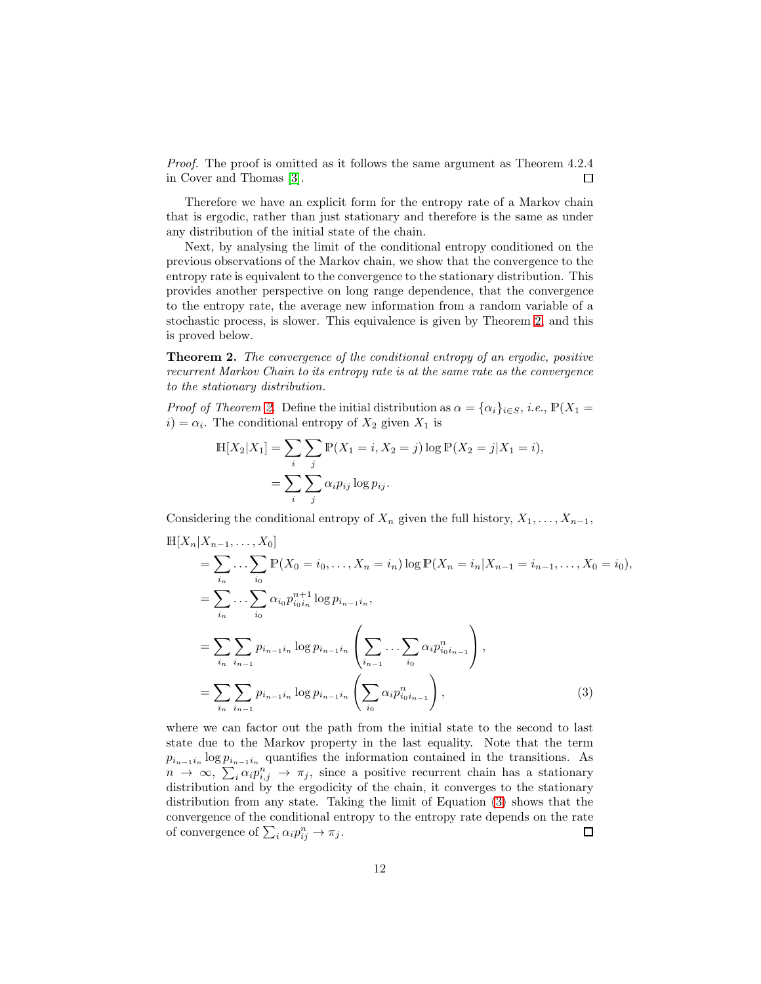*Proof.* The proof is omitted as it follows the same argument as Theorem 4.2.4 in Cover and Thomas [\[3\]](#page-14-8). П

Therefore we have an explicit form for the entropy rate of a Markov chain that is ergodic, rather than just stationary and therefore is the same as under any distribution of the initial state of the chain.

Next, by analysing the limit of the conditional entropy conditioned on the previous observations of the Markov chain, we show that the convergence to the entropy rate is equivalent to the convergence to the stationary distribution. This provides another perspective on long range dependence, that the convergence to the entropy rate, the average new information from a random variable of a stochastic process, is slower. This equivalence is given by Theorem [2,](#page-5-2) and this is proved below.

Theorem 2. *The convergence of the conditional entropy of an ergodic, positive recurrent Markov Chain to its entropy rate is at the same rate as the convergence to the stationary distribution.*

*Proof of Theorem [2.](#page-5-2)* Define the initial distribution as  $\alpha = {\alpha_i}_{i \in S}$ , *i.e.*,  $P(X_1 =$  $i) = \alpha_i$ . The conditional entropy of  $X_2$  given  $X_1$  is

$$
\mathbb{H}[X_2|X_1] = \sum_{i} \sum_{j} \mathbb{P}(X_1 = i, X_2 = j) \log \mathbb{P}(X_2 = j | X_1 = i),
$$
  
= 
$$
\sum_{i} \sum_{j} \alpha_i p_{ij} \log p_{ij}.
$$

Considering the conditional entropy of  $X_n$  given the full history,  $X_1, \ldots, X_{n-1}$ ,

$$
\mathbb{H}[X_n | X_{n-1}, \dots, X_0] \n= \sum_{i_n} \dots \sum_{i_0} \mathbb{P}(X_0 = i_0, \dots, X_n = i_n) \log \mathbb{P}(X_n = i_n | X_{n-1} = i_{n-1}, \dots, X_0 = i_0), \n= \sum_{i_n} \dots \sum_{i_0} \alpha_{i_0} p_{i_0 i_n}^{n+1} \log p_{i_{n-1} i_n}, \n= \sum_{i_n} \sum_{i_{n-1}} p_{i_{n-1} i_n} \log p_{i_{n-1} i_n} \left( \sum_{i_{n-1}} \dots \sum_{i_0} \alpha_i p_{i_0 i_{n-1}}^{n} \right), \n= \sum_{i_n} \sum_{i_{n-1}} p_{i_{n-1} i_n} \log p_{i_{n-1} i_n} \left( \sum_{i_0} \alpha_i p_{i_0 i_{n-1}}^{n} \right),
$$
\n(3)

<span id="page-11-0"></span>where we can factor out the path from the initial state to the second to last state due to the Markov property in the last equality. Note that the term  $p_{i_{n-1}i_n}$  log  $p_{i_{n-1}i_n}$  quantifies the information contained in the transitions. As  $n \to \infty$ ,  $\sum_i \alpha_i p_{i,j}^n \to \pi_j$ , since a positive recurrent chain has a stationary distribution and by the ergodicity of the chain, it converges to the stationary distribution from any state. Taking the limit of Equation [\(3\)](#page-11-0) shows that the convergence of the conditional entropy to the entropy rate depends on the rate of convergence of  $\sum_i \alpha_i p_{ij}^n \to \pi_j$ .  $\Box$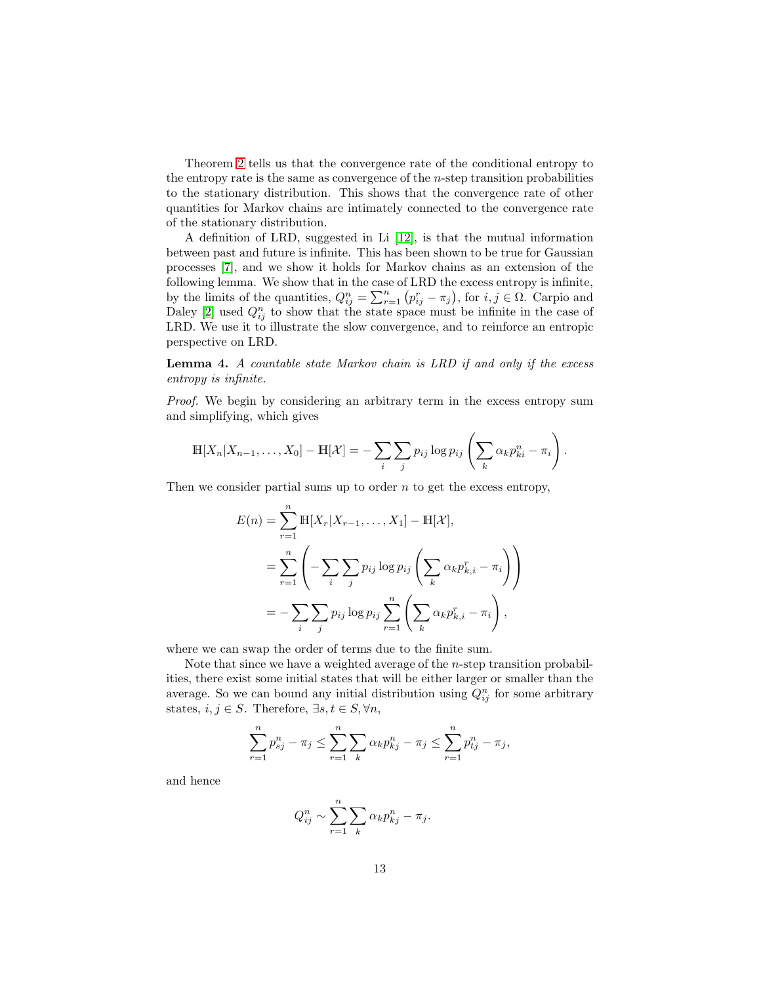Theorem [2](#page-5-2) tells us that the convergence rate of the conditional entropy to the entropy rate is the same as convergence of the  $n$ -step transition probabilities to the stationary distribution. This shows that the convergence rate of other quantities for Markov chains are intimately connected to the convergence rate of the stationary distribution.

A definition of LRD, suggested in Li [\[12\]](#page-15-6), is that the mutual information between past and future is infinite. This has been shown to be true for Gaussian processes [\[7\]](#page-14-4), and we show it holds for Markov chains as an extension of the following lemma. We show that in the case of LRD the excess entropy is infinite, by the limits of the quantities,  $Q_{ij}^n = \sum_{r=1}^n (p_{ij}^r - \pi_j)$ , for  $i, j \in \Omega$ . Carpio and Daley [\[2\]](#page-14-0) used  $Q_{ij}^n$  to show that the state space must be infinite in the case of LRD. We use it to illustrate the slow convergence, and to reinforce an entropic perspective on LRD.

<span id="page-12-0"></span>Lemma 4. *A countable state Markov chain is LRD if and only if the excess entropy is infinite.*

*Proof.* We begin by considering an arbitrary term in the excess entropy sum and simplifying, which gives

$$
\mathbb{H}[X_n|X_{n-1},\ldots,X_0]-\mathbb{H}[\mathcal{X}]=-\sum_i\sum_j p_{ij}\log p_{ij}\left(\sum_k \alpha_k p_{ki}^n-\pi_i\right).
$$

Then we consider partial sums up to order  $n$  to get the excess entropy,

$$
E(n) = \sum_{r=1}^{n} \mathbb{H}[X_r | X_{r-1}, \dots, X_1] - \mathbb{H}[\mathcal{X}],
$$
  
= 
$$
\sum_{r=1}^{n} \left( -\sum_{i} \sum_{j} p_{ij} \log p_{ij} \left( \sum_{k} \alpha_k p_{k,i}^r - \pi_i \right) \right)
$$
  
= 
$$
-\sum_{i} \sum_{j} p_{ij} \log p_{ij} \sum_{r=1}^{n} \left( \sum_{k} \alpha_k p_{k,i}^r - \pi_i \right),
$$

where we can swap the order of terms due to the finite sum.

Note that since we have a weighted average of the  $n$ -step transition probabilities, there exist some initial states that will be either larger or smaller than the average. So we can bound any initial distribution using  $Q_{ij}^n$  for some arbitrary states,  $i, j \in S$ . Therefore,  $\exists s, t \in S, \forall n$ ,

$$
\sum_{r=1}^{n} p_{sj}^{n} - \pi_j \le \sum_{r=1}^{n} \sum_{k} \alpha_k p_{kj}^{n} - \pi_j \le \sum_{r=1}^{n} p_{tj}^{n} - \pi_j,
$$

and hence

$$
Q_{ij}^n \sim \sum_{r=1}^n \sum_k \alpha_k p_{kj}^n - \pi_j.
$$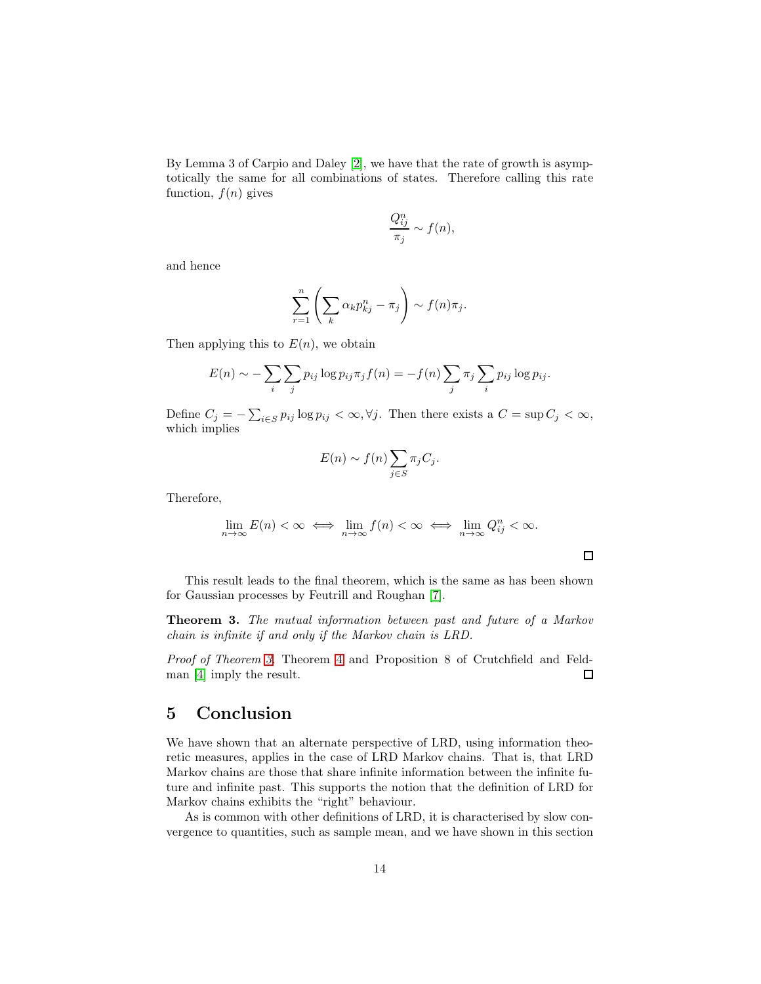By Lemma 3 of Carpio and Daley [\[2\]](#page-14-0), we have that the rate of growth is asymptotically the same for all combinations of states. Therefore calling this rate function,  $f(n)$  gives

$$
\frac{Q_{ij}^n}{\pi_j} \sim f(n),
$$

and hence

$$
\sum_{r=1}^{n} \left( \sum_{k} \alpha_{k} p_{kj}^{n} - \pi_{j} \right) \sim f(n)\pi_{j}.
$$

Then applying this to  $E(n)$ , we obtain

$$
E(n) \sim -\sum_{i} \sum_{j} p_{ij} \log p_{ij} \pi_j f(n) = -f(n) \sum_{j} \pi_j \sum_{i} p_{ij} \log p_{ij}.
$$

Define  $C_j = -\sum_{i \in S} p_{ij} \log p_{ij} < \infty, \forall j$ . Then there exists a  $C = \sup C_j < \infty$ , which implies

$$
E(n) \sim f(n) \sum_{j \in S} \pi_j C_j.
$$

Therefore,

$$
\lim_{n \to \infty} E(n) < \infty \iff \lim_{n \to \infty} f(n) < \infty \iff \lim_{n \to \infty} Q_{ij}^n < \infty.
$$

 $\Box$ 

This result leads to the final theorem, which is the same as has been shown for Gaussian processes by Feutrill and Roughan [\[7\]](#page-14-4).

Theorem 3. *The mutual information between past and future of a Markov chain is infinite if and only if the Markov chain is LRD.*

*Proof of Theorem [3.](#page-5-3)* Theorem [4](#page-12-0) and Proposition 8 of Crutchfield and Feldman [\[4\]](#page-14-5) imply the result.  $\Box$ 

## 5 Conclusion

We have shown that an alternate perspective of LRD, using information theoretic measures, applies in the case of LRD Markov chains. That is, that LRD Markov chains are those that share infinite information between the infinite future and infinite past. This supports the notion that the definition of LRD for Markov chains exhibits the "right" behaviour.

As is common with other definitions of LRD, it is characterised by slow convergence to quantities, such as sample mean, and we have shown in this section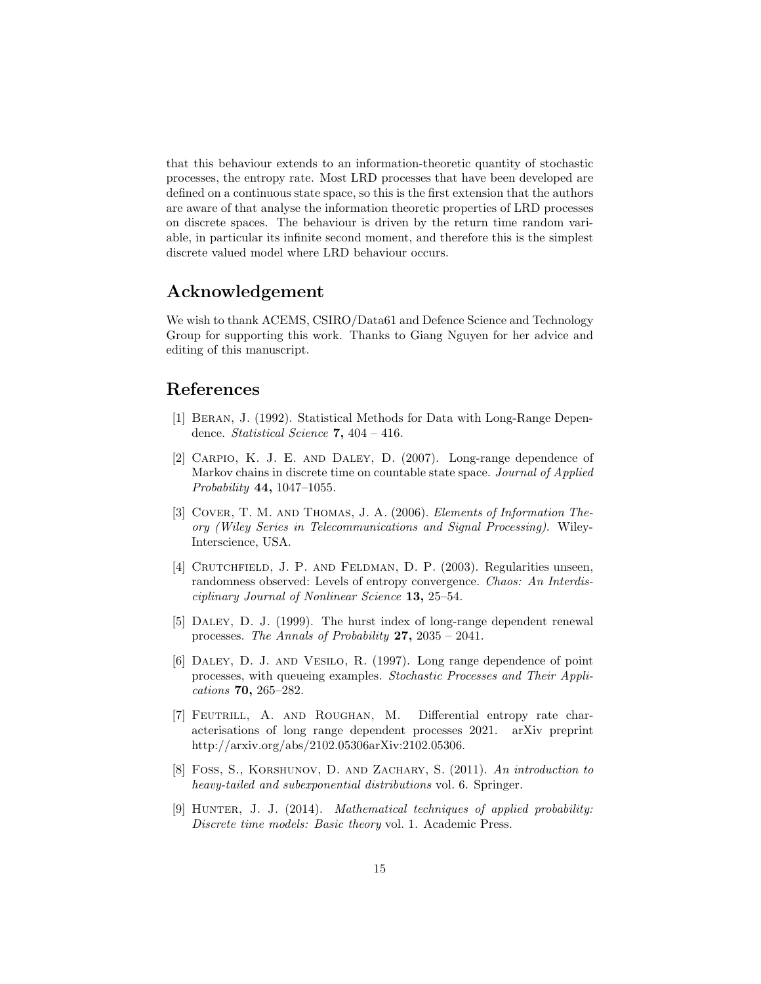that this behaviour extends to an information-theoretic quantity of stochastic processes, the entropy rate. Most LRD processes that have been developed are defined on a continuous state space, so this is the first extension that the authors are aware of that analyse the information theoretic properties of LRD processes on discrete spaces. The behaviour is driven by the return time random variable, in particular its infinite second moment, and therefore this is the simplest discrete valued model where LRD behaviour occurs.

#### Acknowledgement

We wish to thank ACEMS, CSIRO/Data61 and Defence Science and Technology Group for supporting this work. Thanks to Giang Nguyen for her advice and editing of this manuscript.

# <span id="page-14-1"></span>References

- [1] Beran, J. (1992). Statistical Methods for Data with Long-Range Dependence. *Statistical Science* 7, 404 – 416.
- <span id="page-14-0"></span>[2] Carpio, K. J. E. and Daley, D. (2007). Long-range dependence of Markov chains in discrete time on countable state space. *Journal of Applied Probability* 44, 1047–1055.
- <span id="page-14-8"></span>[3] Cover, T. M. and Thomas, J. A. (2006). *Elements of Information Theory (Wiley Series in Telecommunications and Signal Processing)*. Wiley-Interscience, USA.
- <span id="page-14-5"></span>[4] Crutchfield, J. P. and Feldman, D. P. (2003). Regularities unseen, randomness observed: Levels of entropy convergence. *Chaos: An Interdisciplinary Journal of Nonlinear Science* 13, 25–54.
- <span id="page-14-3"></span>[5] Daley, D. J. (1999). The hurst index of long-range dependent renewal processes. *The Annals of Probability* 27, 2035 – 2041.
- <span id="page-14-2"></span>[6] Daley, D. J. and Vesilo, R. (1997). Long range dependence of point processes, with queueing examples. *Stochastic Processes and Their Applications* 70, 265–282.
- <span id="page-14-4"></span>[7] Feutrill, A. and Roughan, M. Differential entropy rate characterisations of long range dependent processes 2021. arXiv preprint http://arxiv.org/abs/2102.05306arXiv:2102.05306.
- <span id="page-14-7"></span>[8] Foss, S., Korshunov, D. and Zachary, S. (2011). *An introduction to heavy-tailed and subexponential distributions* vol. 6. Springer.
- <span id="page-14-6"></span>[9] Hunter, J. J. (2014). *Mathematical techniques of applied probability: Discrete time models: Basic theory* vol. 1. Academic Press.